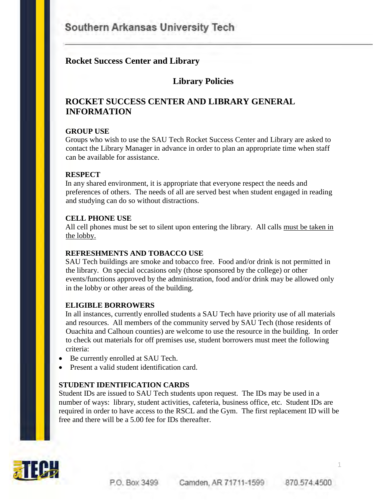# Southern Arkansas University Tech

# **Rocket Success Center and Library**

# **Library Policies**

# **ROCKET SUCCESS CENTER AND LIBRARY GENERAL INFORMATION**

#### **GROUP USE**

Groups who wish to use the SAU Tech Rocket Success Center and Library are asked to contact the Library Manager in advance in order to plan an appropriate time when staff can be available for assistance.

#### **RESPECT**

In any shared environment, it is appropriate that everyone respect the needs and preferences of others. The needs of all are served best when student engaged in reading and studying can do so without distractions.

#### **CELL PHONE USE**

All cell phones must be set to silent upon entering the library. All calls must be taken in the lobby.

#### **REFRESHMENTS AND TOBACCO USE**

SAU Tech buildings are smoke and tobacco free. Food and/or drink is not permitted in the library. On special occasions only (those sponsored by the college) or other events/functions approved by the administration, food and/or drink may be allowed only in the lobby or other areas of the building.

#### **ELIGIBLE BORROWERS**

In all instances, currently enrolled students a SAU Tech have priority use of all materials and resources. All members of the community served by SAU Tech (those residents of Ouachita and Calhoun counties) are welcome to use the resource in the building. In order to check out materials for off premises use, student borrowers must meet the following criteria:

- Be currently enrolled at SAU Tech.
- Present a valid student identification card.

#### **STUDENT IDENTIFICATION CARDS**

Student IDs are issued to SAU Tech students upon request. The IDs may be used in a number of ways: library, student activities, cafeteria, business office, etc. Student IDs are required in order to have access to the RSCL and the Gym. The first replacement ID will be free and there will be a 5.00 fee for IDs thereafter.



1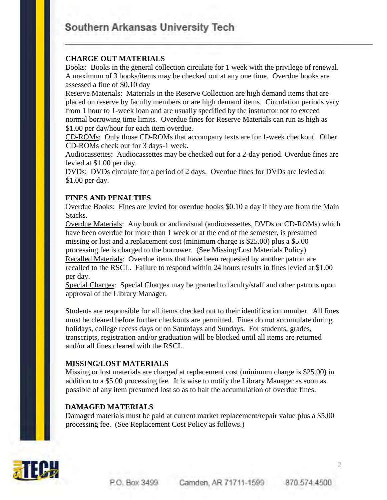# Southern Arkansas University Tech

#### **CHARGE OUT MATERIALS**

Books: Books in the general collection circulate for 1 week with the privilege of renewal. A maximum of 3 books/items may be checked out at any one time. Overdue books are assessed a fine of \$0.10 day

Reserve Materials: Materials in the Reserve Collection are high demand items that are placed on reserve by faculty members or are high demand items. Circulation periods vary from 1 hour to 1-week loan and are usually specified by the instructor not to exceed normal borrowing time limits. Overdue fines for Reserve Materials can run as high as \$1.00 per day/hour for each item overdue.

CD-ROMs: Only those CD-ROMs that accompany texts are for 1-week checkout. Other CD-ROMs check out for 3 days-1 week.

Audiocassettes: Audiocassettes may be checked out for a 2-day period. Overdue fines are levied at \$1.00 per day.

DVDs: DVDs circulate for a period of 2 days. Overdue fines for DVDs are levied at \$1.00 per day.

#### **FINES AND PENALTIES**

Overdue Books: Fines are levied for overdue books \$0.10 a day if they are from the Main Stacks.

Overdue Materials: Any book or audiovisual (audiocassettes, DVDs or CD-ROMs) which have been overdue for more than 1 week or at the end of the semester, is presumed missing or lost and a replacement cost (minimum charge is \$25.00) plus a \$5.00 processing fee is charged to the borrower. (See Missing/Lost Materials Policy) Recalled Materials: Overdue items that have been requested by another patron are recalled to the RSCL. Failure to respond within 24 hours results in fines levied at \$1.00 per day.

Special Charges: Special Charges may be granted to faculty/staff and other patrons upon approval of the Library Manager.

Students are responsible for all items checked out to their identification number. All fines must be cleared before further checkouts are permitted. Fines do not accumulate during holidays, college recess days or on Saturdays and Sundays. For students, grades, transcripts, registration and/or graduation will be blocked until all items are returned and/or all fines cleared with the RSCL.

#### **MISSING/LOST MATERIALS**

Missing or lost materials are charged at replacement cost (minimum charge is \$25.00) in addition to a \$5.00 processing fee. It is wise to notify the Library Manager as soon as possible of any item presumed lost so as to halt the accumulation of overdue fines.

#### **DAMAGED MATERIALS**

Damaged materials must be paid at current market replacement/repair value plus a \$5.00 processing fee. (See Replacement Cost Policy as follows.)

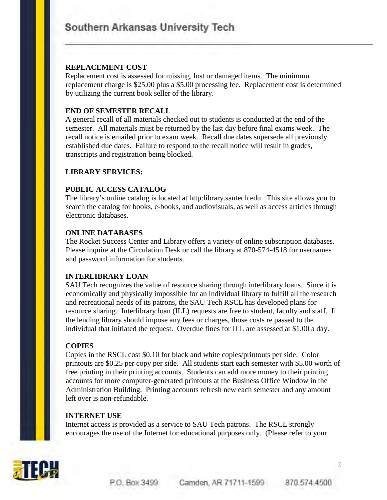## **REPLACEMENT COST**

Replacement cost is assessed for missing, lost or damaged items. The minimum replacement charge is \$25.00 plus a \$5.00 processing fee. Replacement cost is determined by utilizing the current book seller of the library.

# **END OF SEMESTER RECALL**

A general recall of all materials checked out to students is conducted at the end of the semester. All materials must be returned by the last day before final exams week. The recall notice is emailed prior to exam week. Recall due dates supersede all previously established due dates. Failure to respond to the recall notice will result in grades, transcripts and registration being blocked.

# **LIBRARY SERVICES:**

# **PUBLIC ACCESS CATALOG**

The library's online catalog is located at http:library.sautech.edu. This site allows you to search the catalog for books, e-books, and audiovisuals, as well as access articles through electronic databases.

## **ONLINE DATABASES**

The Rocket Success Center and Library offers a variety of online subscription databases. Please inquire at the Circulation Desk or call the library at 870-574-4518 for usernames and password information for students.

# **INTERLIBRARY LOAN**

SAU Tech recognizes the value of resource sharing through interlibrary loans. Since it is economically and physically impossible for an individual library to fulfill all the research and recreational needs of its patrons, the SAU Tech RSCL has developed plans for resource sharing. Interlibrary loan (ILL) requests are free to student, faculty and staff. If the lending library should impose any fees or charges, those costs re passed to the individual that initiated the request. Overdue fines for ILL are assessed at \$1.00 a day.

# **COPIES**

Copies in the RSCL cost \$0.10 for black and white copies/printouts per side. Color printouts are \$0.25 per copy per side. All students start each semester with \$5.00 worth of free printing in their printing accounts. Students can add more money to their printing accounts for more computer-generated printouts at the Business Office Window in the Administration Building. Printing accounts refresh new each semester and any amount left over is non-refundable.

#### **INTERNET USE**

Internet access is provided as a service to SAU Tech patrons. The RSCL strongly encourages the use of the Internet for educational purposes only. (Please refer to your